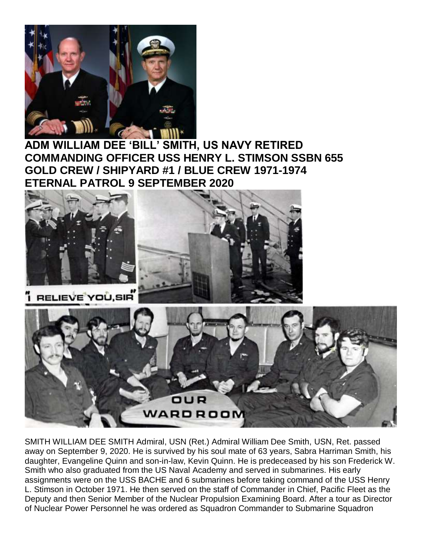

**ADM WILLIAM DEE 'BILL' SMITH, US NAVY RETIRED COMMANDING OFFICER USS HENRY L. STIMSON SSBN 655 GOLD CREW / SHIPYARD #1 / BLUE CREW 1971-1974 ETERNAL PATROL 9 SEPTEMBER 2020**



SMITH WILLIAM DEE SMITH Admiral, USN (Ret.) Admiral William Dee Smith, USN, Ret. passed away on September 9, 2020. He is survived by his soul mate of 63 years, Sabra Harriman Smith, his daughter, Evangeline Quinn and son-in-law, Kevin Quinn. He is predeceased by his son Frederick W. Smith who also graduated from the US Naval Academy and served in submarines. His early assignments were on the USS BACHE and 6 submarines before taking command of the USS Henry L. Stimson in October 1971. He then served on the staff of Commander in Chief, Pacific Fleet as the Deputy and then Senior Member of the Nuclear Propulsion Examining Board. After a tour as Director of Nuclear Power Personnel he was ordered as Squadron Commander to Submarine Squadron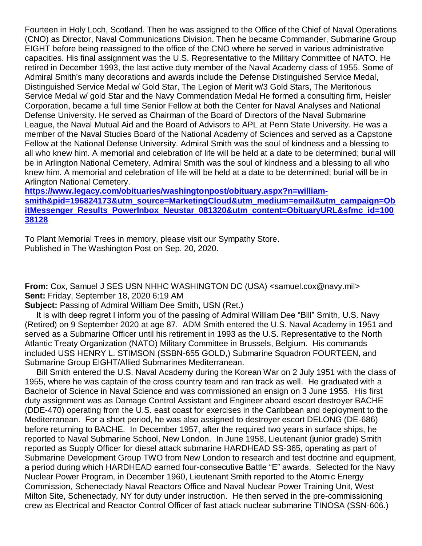Fourteen in Holy Loch, Scotland. Then he was assigned to the Office of the Chief of Naval Operations (CNO) as Director, Naval Communications Division. Then he became Commander, Submarine Group EIGHT before being reassigned to the office of the CNO where he served in various administrative capacities. His final assignment was the U.S. Representative to the Military Committee of NATO. He retired in December 1993, the last active duty member of the Naval Academy class of 1955. Some of Admiral Smith's many decorations and awards include the Defense Distinguished Service Medal, Distinguished Service Medal w/ Gold Star, The Legion of Merit w/3 Gold Stars, The Meritorious Service Medal w/ gold Star and the Navy Commendation Medal He formed a consulting firm, Heisler Corporation, became a full time Senior Fellow at both the Center for Naval Analyses and National Defense University. He served as Chairman of the Board of Directors of the Naval Submarine League, the Naval Mutual Aid and the Board of Advisors to APL at Penn State University. He was a member of the Naval Studies Board of the National Academy of Sciences and served as a Capstone Fellow at the National Defense University. Admiral Smith was the soul of kindness and a blessing to all who knew him. A memorial and celebration of life will be held at a date to be determined; burial will be in Arlington National Cemetery. Admiral Smith was the soul of kindness and a blessing to all who knew him. A memorial and celebration of life will be held at a date to be determined; burial will be in Arlington National Cemetery.

**[https://www.legacy.com/obituaries/washingtonpost/obituary.aspx?n=william](https://www.legacy.com/obituaries/washingtonpost/obituary.aspx?n=william-smith&pid=196824173&utm_source=MarketingCloud&utm_medium=email&utm_campaign=ObitMessenger_Results_PowerInbox_Neustar_081320&utm_content=ObituaryURL&sfmc_id=10038128)[smith&pid=196824173&utm\\_source=MarketingCloud&utm\\_medium=email&utm\\_campaign=Ob](https://www.legacy.com/obituaries/washingtonpost/obituary.aspx?n=william-smith&pid=196824173&utm_source=MarketingCloud&utm_medium=email&utm_campaign=ObitMessenger_Results_PowerInbox_Neustar_081320&utm_content=ObituaryURL&sfmc_id=10038128) [itMessenger\\_Results\\_PowerInbox\\_Neustar\\_081320&utm\\_content=ObituaryURL&sfmc\\_id=100](https://www.legacy.com/obituaries/washingtonpost/obituary.aspx?n=william-smith&pid=196824173&utm_source=MarketingCloud&utm_medium=email&utm_campaign=ObitMessenger_Results_PowerInbox_Neustar_081320&utm_content=ObituaryURL&sfmc_id=10038128) [38128](https://www.legacy.com/obituaries/washingtonpost/obituary.aspx?n=william-smith&pid=196824173&utm_source=MarketingCloud&utm_medium=email&utm_campaign=ObitMessenger_Results_PowerInbox_Neustar_081320&utm_content=ObituaryURL&sfmc_id=10038128)**

To Plant Memorial Trees in memory, please visit our [Sympathy Store.](https://sympathy.legacy.com/en-us/funeral-flowers/name/william-smith-funeral-flowers/p196824173/?affiliateId=600&pm=240) Published in The Washington Post on Sep. 20, 2020.

**From:** Cox, Samuel J SES USN NHHC WASHINGTON DC (USA) <samuel.cox@navy.mil> **Sent:** Friday, September 18, 2020 6:19 AM

**Subject:** Passing of Admiral William Dee Smith, USN (Ret.)

 It is with deep regret I inform you of the passing of Admiral William Dee "Bill" Smith, U.S. Navy (Retired) on 9 September 2020 at age 87. ADM Smith entered the U.S. Naval Academy in 1951 and served as a Submarine Officer until his retirement in 1993 as the U.S. Representative to the North Atlantic Treaty Organization (NATO) Military Committee in Brussels, Belgium. His commands included USS HENRY L. STIMSON (SSBN-655 GOLD,) Submarine Squadron FOURTEEN, and Submarine Group EIGHT/Allied Submarines Mediterranean.

 Bill Smith entered the U.S. Naval Academy during the Korean War on 2 July 1951 with the class of 1955, where he was captain of the cross country team and ran track as well. He graduated with a Bachelor of Science in Naval Science and was commissioned an ensign on 3 June 1955. His first duty assignment was as Damage Control Assistant and Engineer aboard escort destroyer BACHE (DDE-470) operating from the U.S. east coast for exercises in the Caribbean and deployment to the Mediterranean. For a short period, he was also assigned to destroyer escort DELONG (DE-686) before returning to BACHE. In December 1957, after the required two years in surface ships, he reported to Naval Submarine School, New London. In June 1958, Lieutenant (junior grade) Smith reported as Supply Officer for diesel attack submarine HARDHEAD SS-365, operating as part of Submarine Development Group TWO from New London to research and test doctrine and equipment, a period during which HARDHEAD earned four-consecutive Battle "E" awards. Selected for the Navy Nuclear Power Program, in December 1960, Lieutenant Smith reported to the Atomic Energy Commission, Schenectady Naval Reactors Office and Naval Nuclear Power Training Unit, West Milton Site, Schenectady, NY for duty under instruction. He then served in the pre-commissioning crew as Electrical and Reactor Control Officer of fast attack nuclear submarine TINOSA (SSN-606.)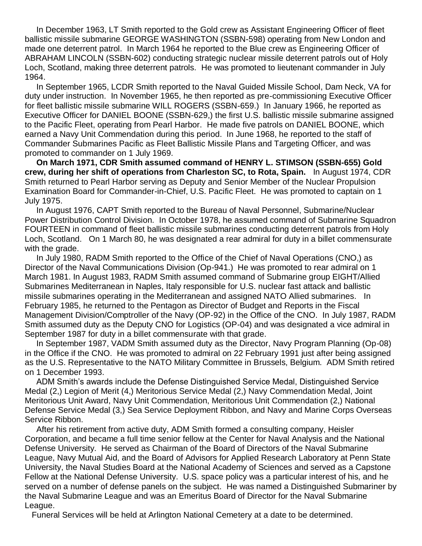In December 1963, LT Smith reported to the Gold crew as Assistant Engineering Officer of fleet ballistic missile submarine GEORGE WASHINGTON (SSBN-598) operating from New London and made one deterrent patrol. In March 1964 he reported to the Blue crew as Engineering Officer of ABRAHAM LINCOLN (SSBN-602) conducting strategic nuclear missile deterrent patrols out of Holy Loch, Scotland, making three deterrent patrols. He was promoted to lieutenant commander in July 1964.

 In September 1965, LCDR Smith reported to the Naval Guided Missile School, Dam Neck, VA for duty under instruction. In November 1965, he then reported as pre-commissioning Executive Officer for fleet ballistic missile submarine WILL ROGERS (SSBN-659.) In January 1966, he reported as Executive Officer for DANIEL BOONE (SSBN-629,) the first U.S. ballistic missile submarine assigned to the Pacific Fleet, operating from Pearl Harbor. He made five patrols on DANIEL BOONE, which earned a Navy Unit Commendation during this period. In June 1968, he reported to the staff of Commander Submarines Pacific as Fleet Ballistic Missile Plans and Targeting Officer, and was promoted to commander on 1 July 1969.

 **On March 1971, CDR Smith assumed command of HENRY L. STIMSON (SSBN-655) Gold crew, during her shift of operations from Charleston SC, to Rota, Spain.** In August 1974, CDR Smith returned to Pearl Harbor serving as Deputy and Senior Member of the Nuclear Propulsion Examination Board for Commander-in-Chief, U.S. Pacific Fleet. He was promoted to captain on 1 July 1975.

 In August 1976, CAPT Smith reported to the Bureau of Naval Personnel, Submarine/Nuclear Power Distribution Control Division. In October 1978, he assumed command of Submarine Squadron FOURTEEN in command of fleet ballistic missile submarines conducting deterrent patrols from Holy Loch, Scotland. On 1 March 80, he was designated a rear admiral for duty in a billet commensurate with the grade.

 In July 1980, RADM Smith reported to the Office of the Chief of Naval Operations (CNO,) as Director of the Naval Communications Division (Op-941.) He was promoted to rear admiral on 1 March 1981. In August 1983, RADM Smith assumed command of Submarine group EIGHT/Allied Submarines Mediterranean in Naples, Italy responsible for U.S. nuclear fast attack and ballistic missile submarines operating in the Mediterranean and assigned NATO Allied submarines. In February 1985, he returned to the Pentagon as Director of Budget and Reports in the Fiscal Management Division/Comptroller of the Navy (OP-92) in the Office of the CNO. In July 1987, RADM Smith assumed duty as the Deputy CNO for Logistics (OP-04) and was designated a vice admiral in September 1987 for duty in a billet commensurate with that grade.

 In September 1987, VADM Smith assumed duty as the Director, Navy Program Planning (Op-08) in the Office if the CNO. He was promoted to admiral on 22 February 1991 just after being assigned as the U.S. Representative to the NATO Military Committee in Brussels, Belgium. ADM Smith retired on 1 December 1993.

 ADM Smith's awards include the Defense Distinguished Service Medal, Distinguished Service Medal (2,) Legion of Merit (4,) Meritorious Service Medal (2,) Navy Commendation Medal, Joint Meritorious Unit Award, Navy Unit Commendation, Meritorious Unit Commendation (2,) National Defense Service Medal (3,) Sea Service Deployment Ribbon, and Navy and Marine Corps Overseas Service Ribbon.

 After his retirement from active duty, ADM Smith formed a consulting company, Heisler Corporation, and became a full time senior fellow at the Center for Naval Analysis and the National Defense University. He served as Chairman of the Board of Directors of the Naval Submarine League, Navy Mutual Aid, and the Board of Advisors for Applied Research Laboratory at Penn State University, the Naval Studies Board at the National Academy of Sciences and served as a Capstone Fellow at the National Defense University. U.S. space policy was a particular interest of his, and he served on a number of defense panels on the subject. He was named a Distinguished Submariner by the Naval Submarine League and was an Emeritus Board of Director for the Naval Submarine League.

Funeral Services will be held at Arlington National Cemetery at a date to be determined.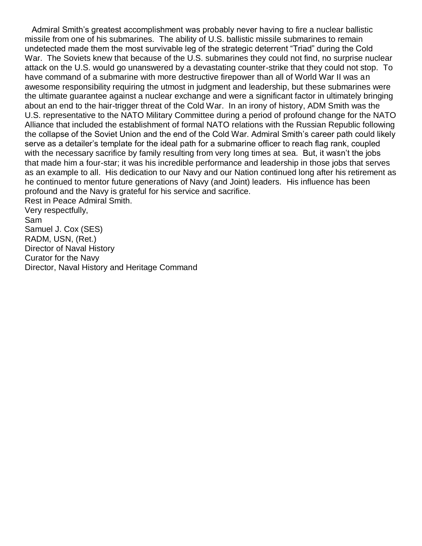Admiral Smith's greatest accomplishment was probably never having to fire a nuclear ballistic missile from one of his submarines. The ability of U.S. ballistic missile submarines to remain undetected made them the most survivable leg of the strategic deterrent "Triad" during the Cold War. The Soviets knew that because of the U.S. submarines they could not find, no surprise nuclear attack on the U.S. would go unanswered by a devastating counter-strike that they could not stop. To have command of a submarine with more destructive firepower than all of World War II was an awesome responsibility requiring the utmost in judgment and leadership, but these submarines were the ultimate guarantee against a nuclear exchange and were a significant factor in ultimately bringing about an end to the hair-trigger threat of the Cold War. In an irony of history, ADM Smith was the U.S. representative to the NATO Military Committee during a period of profound change for the NATO Alliance that included the establishment of formal NATO relations with the Russian Republic following the collapse of the Soviet Union and the end of the Cold War. Admiral Smith's career path could likely serve as a detailer's template for the ideal path for a submarine officer to reach flag rank, coupled with the necessary sacrifice by family resulting from very long times at sea. But, it wasn't the jobs that made him a four-star; it was his incredible performance and leadership in those jobs that serves as an example to all. His dedication to our Navy and our Nation continued long after his retirement as he continued to mentor future generations of Navy (and Joint) leaders. His influence has been profound and the Navy is grateful for his service and sacrifice. Rest in Peace Admiral Smith. Very respectfully, Sam

Samuel J. Cox (SES) RADM, USN, (Ret.) Director of Naval History Curator for the Navy Director, Naval History and Heritage Command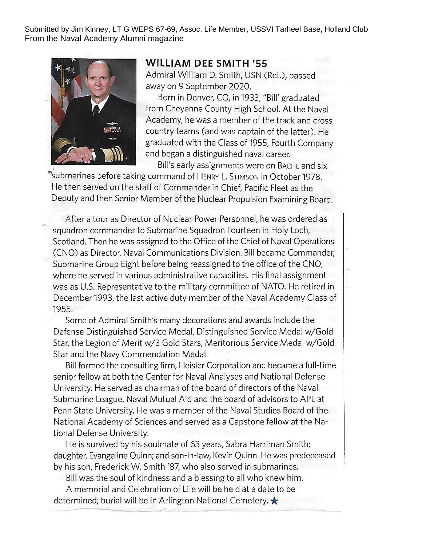Submitted by Jim Kinney, LT G WEPS 67-69, Assoc. Life Member, USSVI Tarheel Base, Holland Club From the Naval Academy Alumni magazine



## **WILLIAM DEE SMITH '55**

Admiral William D. Smith, USN (Ret.), passed away on 9 September 2020.

Born in Denver, CO, in 1933, "Bill' graduated from Cheyenne County High School. At the Naval Academy, he was a member of the track and cross country teams (and was captain of the latter). He graduated with the Class of 1955, Fourth Company and began a distinguished naval career.

Bill's early assignments were on BACHE and six

"submarines before taking command of HENRY L. STIMSON in October 1978. He then served on the staff of Commander in Chief, Pacific Fleet as the Deputy and then Senior Member of the Nuclear Propulsion Examining Board.

After a tour as Director of Nuclear Power Personnel, he was ordered as squadron commander to Submarine Squadron Fourteen in Holy Loch, Scotland. Then he was assigned to the Office of the Chief of Naval Operations (CNO) as Director, Naval Communications Division. Bill became Commander, Submarine Group Eight before being reassigned to the office of the CNO, where he served in various administrative capacities. His final assignment was as U.S. Representative to the military committee of NATO. He retired in December 1993, the last active duty member of the Naval Academy Class of 1955.

Some of Admiral Smith's many decorations and awards include the Defense Distinguished Service Medal, Distinguished Service Medal w/Gold Star, the Legion of Merit w/3 Gold Stars, Meritorious Service Medal w/Gold Star and the Navy Commendation Medal.

Bill formed the consulting firm, Heisler Corporation and became a full-time senior fellow at both the Center for Naval Analyses and National Defense University. He served as chairman of the board of directors of the Naval Submarine League, Naval Mutual Aid and the board of advisors to APL at Penn State University. He was a member of the Naval Studies Board of the National Academy of Sciences and served as a Capstone fellow at the National Defense University.

He is survived by his soulmate of 63 years, Sabra Harriman Smith; daughter, Evangeline Quinn; and son-in-law, Kevin Quinn. He was predeceased by his son, Frederick W. Smith '87, who also served in submarines.

Bill was the soul of kindness and a blessing to all who knew him.

A memorial and Celebration of Life will be held at a date to be determined; burial will be in Arlington National Cemetery.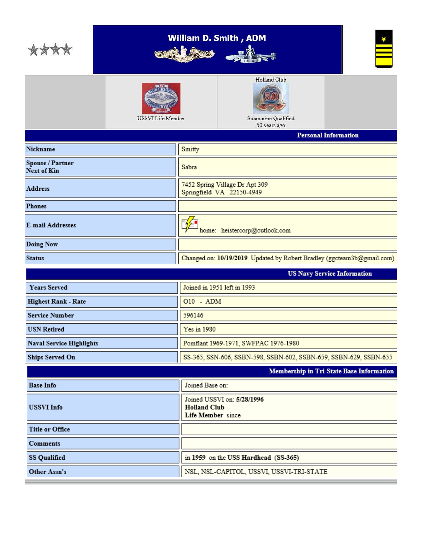|                                 | <b>William D. Smith, ADM</b><br><b>RECORD</b> |                                                                        |  |  |  |  |  |  |
|---------------------------------|-----------------------------------------------|------------------------------------------------------------------------|--|--|--|--|--|--|
|                                 | USSVI Life Member                             | Holland Club<br>Submarine Qualified<br>50 years ago                    |  |  |  |  |  |  |
|                                 |                                               | <b>Personal Information</b>                                            |  |  |  |  |  |  |
| Nickname                        |                                               | Smitty                                                                 |  |  |  |  |  |  |
| Spouse / Partner<br>Next of Kin |                                               | Sabra                                                                  |  |  |  |  |  |  |
| <b>Address</b>                  |                                               | 7452 Spring Village Dr Apt 309<br>Springfield VA 22150-4949            |  |  |  |  |  |  |
| <b>Phones</b>                   |                                               |                                                                        |  |  |  |  |  |  |
| <b>E-mail Addresses</b>         |                                               | 隆<br>home: heistercorp@outlook.com                                     |  |  |  |  |  |  |
| <b>Doing Now</b>                |                                               |                                                                        |  |  |  |  |  |  |
| <b>Status</b>                   |                                               | Changed on: 10/19/2019 Updated by Robert Bradley (ggcteam3b@gmail.com) |  |  |  |  |  |  |
|                                 |                                               | <b>US Navy Service Information</b>                                     |  |  |  |  |  |  |
|                                 |                                               |                                                                        |  |  |  |  |  |  |
| <b>Years Served</b>             |                                               | Joined in 1951 left in 1993                                            |  |  |  |  |  |  |
| <b>Highest Rank - Rate</b>      |                                               | 010 - ADM                                                              |  |  |  |  |  |  |
| <b>Service Number</b>           |                                               | 596146                                                                 |  |  |  |  |  |  |
| <b>USN Retired</b>              |                                               | Yes in 1980                                                            |  |  |  |  |  |  |
| <b>Naval Service Highlights</b> |                                               | Pomflant 1969-1971, SWFPAC 1976-1980                                   |  |  |  |  |  |  |
| <b>Ships Served On</b>          |                                               | SS-365, SSN-606, SSBN-598, SSBN-602, SSBN-659, SSBN-629, SSBN-655      |  |  |  |  |  |  |
|                                 |                                               | Membership in Tri-State Base Information                               |  |  |  |  |  |  |
| <b>Base Info</b>                |                                               | Joined Base on:                                                        |  |  |  |  |  |  |
| <b>USSVI Info</b>               |                                               | Joined USSVI on: 5/28/1996<br><b>Holland Club</b><br>Life Member since |  |  |  |  |  |  |
| <b>Title or Office</b>          |                                               |                                                                        |  |  |  |  |  |  |
| Comments                        |                                               |                                                                        |  |  |  |  |  |  |
| <b>SS Qualified</b>             |                                               | in 1959 on the USS Hardhead (SS-365)                                   |  |  |  |  |  |  |
| Other Assn's                    |                                               | NSL, NSL-CAPITOL, USSVI, USSVI-TRI-STATE                               |  |  |  |  |  |  |